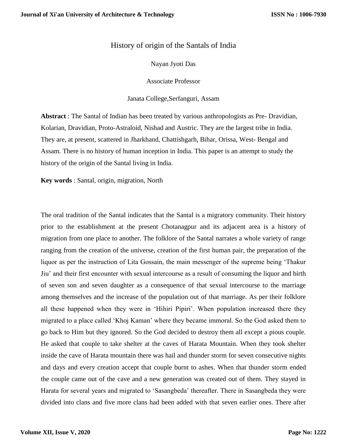## History of origin of the Santals of India

Nayan Jyoti Das

Associate Professor

Janata College,Serfanguri, Assam

**Abstract** : The Santal of Indian has been treated by various anthropologists as Pre- Dravidian, Kolarian, Dravidian, Proto-Astraloid, Nishad and Austric. They are the largest tribe in India. They are, at present, scattered in Jharkhand, Chattishgarh, Bihar, Orissa, West- Bengal and Assam. There is no history of human inception in India. This paper is an attempt to study the history of the origin of the Santal living in India.

**Key words** : Santal, origin, migration, North

The oral tradition of the Santal indicates that the Santal is a migratory community. Their history prior to the establishment at the present Chotanagpur and its adjacent area is a history of migration from one place to another. The folklore of the Santal narrates a whole variety of range ranging from the creation of the universe, creation of the first human pair, the preparation of the liquor as per the instruction of Lita Gossain, the main messenger of the supreme being 'Thakur Jiu' and their first encounter with sexual intercourse as a result of consuming the liquor and birth of seven son and seven daughter as a consequence of that sexual intercourse to the marriage among themselves and the increase of the population out of that marriage. As per their folklore all these happened when they were in 'Hihiri Pipiri'. When population increased there they migrated to a place called 'Khoj Kaman' where they became immoral. So the God asked them to go back to Him but they ignored. So the God decided to destroy them all except a pious couple. He asked that couple to take shelter at the caves of Harata Mountain. When they took shelter inside the cave of Harata mountain there was hail and thunder storm for seven consecutive nights and days and every creation accept that couple burnt to ashes. When that thunder storm ended the couple came out of the cave and a new generation was created out of them. They stayed in Harata for several years and migrated to 'Sasangbeda' thereafter. There in Sasangbeda they were divided into clans and five more clans had been added with that seven earlier ones. There after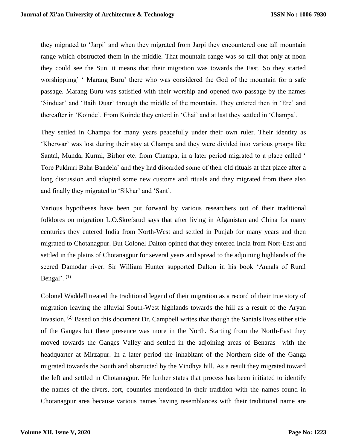they migrated to 'Jarpi' and when they migrated from Jarpi they encountered one tall mountain range which obstructed them in the middle. That mountain range was so tall that only at noon they could see the Sun. it means that their migration was towards the East. So they started worshippimg' ' Marang Buru' there who was considered the God of the mountain for a safe passage. Marang Buru was satisfied with their worship and opened two passage by the names 'Sinduar' and 'Baih Duar' through the middle of the mountain. They entered then in 'Ere' and thereafter in 'Koinde'. From Koinde they enterd in 'Chai' and at last they settled in 'Champa'.

They settled in Champa for many years peacefully under their own ruler. Their identity as 'Kherwar' was lost during their stay at Champa and they were divided into various groups like Santal, Munda, Kurmi, Birhor etc. from Champa, in a later period migrated to a place called ' Tore Pukhuri Baha Bandela' and they had discarded some of their old rituals at that place after a long discussion and adopted some new customs and rituals and they migrated from there also and finally they migrated to 'Sikhar' and 'Sant'.

Various hypotheses have been put forward by various researchers out of their traditional folklores on migration L.O.Skrefsrud says that after living in Afganistan and China for many centuries they entered India from North-West and settled in Punjab for many years and then migrated to Chotanagpur. But Colonel Dalton opined that they entered India from Nort-East and settled in the plains of Chotanagpur for several years and spread to the adjoining highlands of the secred Damodar river. Sir William Hunter supported Dalton in his book 'Annals of Rural Bengal'.  $(1)$ 

Colonel Waddell treated the traditional legend of their migration as a record of their true story of migration leaving the alluvial South-West highlands towards the hill as a result of the Aryan invasion. (2) Based on this document Dr. Campbell writes that though the Santals lives either side of the Ganges but there presence was more in the North. Starting from the North-East they moved towards the Ganges Valley and settled in the adjoining areas of Benaras with the headquarter at Mirzapur. In a later period the inhabitant of the Northern side of the Ganga migrated towards the South and obstructed by the Vindhya hill. As a result they migrated toward the left and settled in Chotanagpur. He further states that process has been initiated to identify the names of the rivers, fort, countries mentioned in their tradition with the names found in Chotanagpur area because various names having resemblances with their traditional name are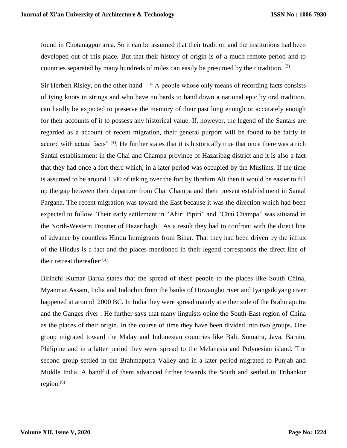found in Chotanagpur area. So it can be assumed that their tradition and the institutions had been developed out of this place. But that their history of origin is of a much remote period and to countries separated by many hundreds of miles can easily be presumed by their tradition. <sup>(3)</sup>

Sir Herbert Risley, on the other hand – " A people whose only means of recording facts consists of tying knots in strings and who have no bards to hand down a national epic by oral tradition, can hardly be expected to preserve the memory of their past long enough or accurately enough for their accounts of it to possess any historical value. If, however, the legend of the Santals are regarded as a account of recent migration, their general purport will be found to be fairly in accord with actual facts" <sup>(4)</sup>. He further states that it is historically true that once there was a rich Santal establishment in the Chai and Champa province of Hazaribag district and it is also a fact that they had once a fort there which, in a later period was occupied by the Muslims. If the time is assumed to be around 1340 of taking over the fort by Ibrahim Ali then it would be easier to fill up the gap between their departure from Chai Champa and their present establishment in Santal Pargana. The recent migration was toward the East because it was the direction which had been expected to follow. Their early settlement in "Ahiri Pipiri" and "Chai Champa" was situated in the North-Western Frontier of Hazaribagh . As a result they had to confront with the direct line of advance by countless Hindu Immigrants from Bihar. That they had been driven by the influx of the Hindus is a fact and the places mentioned in their legend corresponds the direct line of their retreat thereafter.  $(5)$ 

Birinchi Kumar Barua states that the spread of these people to the places like South China, Myanmar,Assam, India and Indochin from the banks of Howangho river and Iyangsikiyang river happened at around 2000 BC. In India they were spread mainly at either side of the Brahmaputra and the Ganges river . He further says that many linguists opine the South-East region of China as the places of their origin. In the course of time they have been divided into two groups. One group migrated toward the Malay and Indonesian countries like Bali, Sumatra, Java, Barnio, Philipine and in a latter period they were spread to the Melanesia and Polynesian island. The second group settled in the Brahmaputra Valley and in a later period migrated to Punjab and Middle India. A handful of them advanced firther towards the South and settled in Tribankur region. $(6)$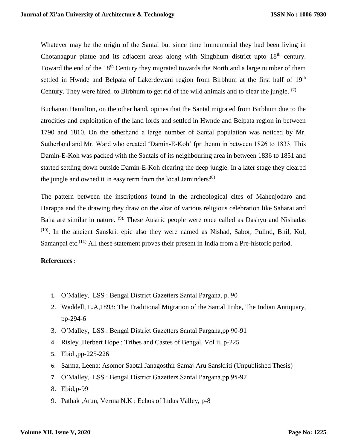Whatever may be the origin of the Santal but since time immemorial they had been living in Chotanagpur platue and its adjacent areas along with Singbhum district upto 18<sup>th</sup> century. Toward the end of the 18<sup>th</sup> Century they migrated towards the North and a large number of them settled in Hwnde and Belpata of Lakerdewani region from Birbhum at the first half of 19<sup>th</sup> Century. They were hired to Birbhum to get rid of the wild animals and to clear the jungle. (7)

Buchanan Hamilton, on the other hand, opines that the Santal migrated from Birbhum due to the atrocities and exploitation of the land lords and settled in Hwnde and Belpata region in between 1790 and 1810. On the otherhand a large number of Santal population was noticed by Mr. Sutherland and Mr. Ward who created 'Damin-E-Koh' fpr thenm in between 1826 to 1833. This Damin-E-Koh was packed with the Santals of its neighbouring area in between 1836 to 1851 and started settling down outside Damin-E-Koh clearing the deep jungle. In a later stage they cleared the jungle and owned it in easy term from the local Jaminders. $(8)$ 

The pattern between the inscriptions found in the archeological cites of Mahenjodaro and Harappa and the drawing they draw on the altar of various religious celebration like Saharai and Baha are similar in nature. (9), These Austric people were once called as Dashyu and Nishadas (10). In the ancient Sanskrit epic also they were named as Nishad, Sabor, Pulind, Bhil, Kol, Samanpal etc.<sup> $(11)$ </sup> All these statement proves their present in India from a Pre-historic period.

## **References** :

- 1. O'Malley, LSS : Bengal District Gazetters Santal Pargana, p. 90
- 2. Waddell, L.A,1893: The Traditional Migration of the Santal Tribe, The Indian Antiquary, pp-294-6
- 3. O'Malley, LSS : Bengal District Gazetters Santal Pargana,pp 90-91
- 4. Risley ,Herbert Hope : Tribes and Castes of Bengal, Vol ii, p-225
- 5. Ebid ,pp-225-226
- 6. Sarma, Leena: Asomor Saotal Janagosthir Samaj Aru Sanskriti (Unpublished Thesis)
- 7. O'Malley, LSS : Bengal District Gazetters Santal Pargana,pp 95-97
- 8. Ebid,p-99
- 9. Pathak ,Arun, Verma N.K : Echos of Indus Valley, p-8